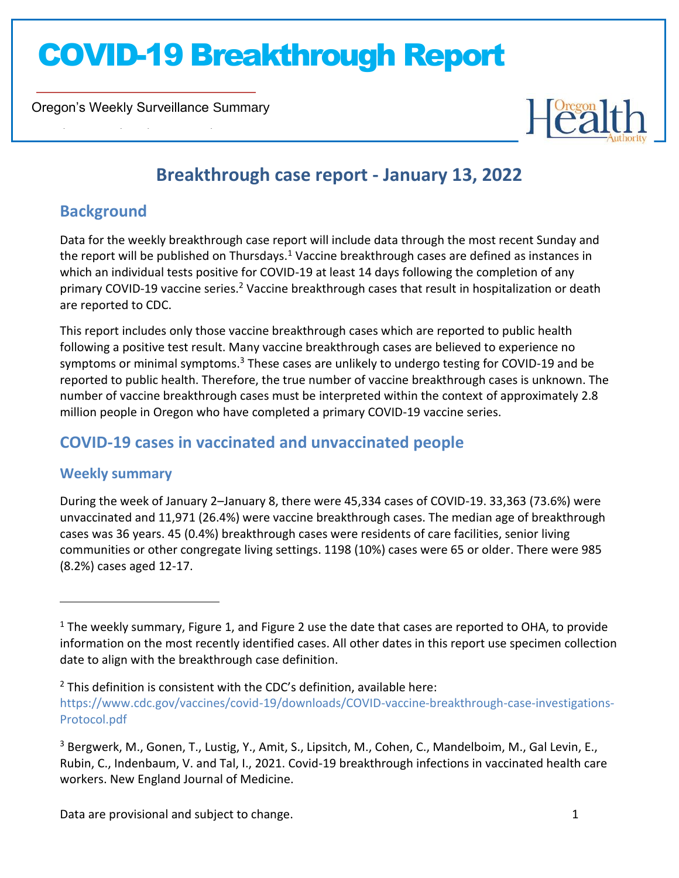Oregon's Weekly Surveillance Summary

Novel Coronavirus (COVID-19)



### **Breakthrough case report - January 13, 2022**

### **Background**

Data for the weekly breakthrough case report will include data through the most recent Sunday and the report will be published on Thursdays.<sup>1</sup> Vaccine breakthrough cases are defined as instances in which an individual tests positive for COVID-19 at least 14 days following the completion of any primary COVID-19 vaccine series.<sup>2</sup> Vaccine breakthrough cases that result in hospitalization or death are reported to CDC.

This report includes only those vaccine breakthrough cases which are reported to public health following a positive test result. Many vaccine breakthrough cases are believed to experience no symptoms or minimal symptoms.<sup>3</sup> These cases are unlikely to undergo testing for COVID-19 and be reported to public health. Therefore, the true number of vaccine breakthrough cases is unknown. The number of vaccine breakthrough cases must be interpreted within the context of approximately 2.8 million people in Oregon who have completed a primary COVID-19 vaccine series.

### **COVID-19 cases in vaccinated and unvaccinated people**

#### **Weekly summary**

During the week of January 2–January 8, there were 45,334 cases of COVID-19. 33,363 (73.6%) were unvaccinated and 11,971 (26.4%) were vaccine breakthrough cases. The median age of breakthrough cases was 36 years. 45 (0.4%) breakthrough cases were residents of care facilities, senior living communities or other congregate living settings. 1198 (10%) cases were 65 or older. There were 985 (8.2%) cases aged 12-17.

<sup>&</sup>lt;sup>1</sup> The weekly summary, Figure 1, and Figure 2 use the date that cases are reported to OHA, to provide information on the most recently identified cases. All other dates in this report use specimen collection date to align with the breakthrough case definition.

 $2$  This definition is consistent with the CDC's definition, available here: [https://www.cdc.gov/vaccines/covid-19/downloads/COVID-vaccine-breakthrough-case-investigations-](https://www.cdc.gov/vaccines/covid-19/downloads/COVID-vaccine-breakthrough-case-investigations-Protocol.pdf)[Protocol.pdf](https://www.cdc.gov/vaccines/covid-19/downloads/COVID-vaccine-breakthrough-case-investigations-Protocol.pdf)

<sup>3</sup> Bergwerk, M., Gonen, T., Lustig, Y., Amit, S., Lipsitch, M., Cohen, C., Mandelboim, M., Gal Levin, E., Rubin, C., Indenbaum, V. and Tal, I., 2021. Covid-19 breakthrough infections in vaccinated health care workers. New England Journal of Medicine.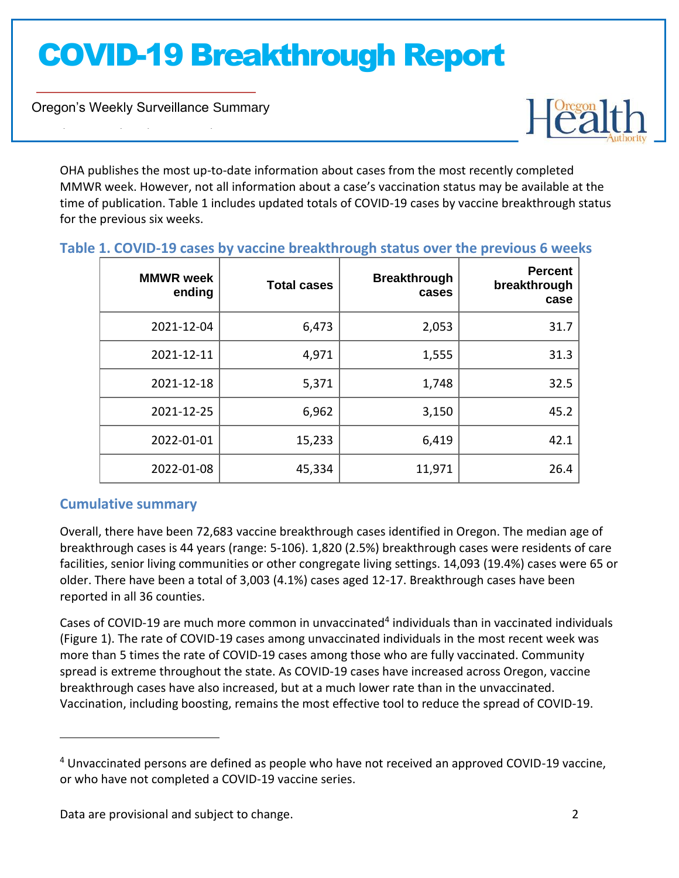Oregon's Weekly Surveillance Summary

Novel Coronavirus (COVID-19)



OHA publishes the most up-to-date information about cases from the most recently completed MMWR week. However, not all information about a case's vaccination status may be available at the time of publication. Table 1 includes updated totals of COVID-19 cases by vaccine breakthrough status for the previous six weeks.

| <b>MMWR</b> week<br>ending | <b>Total cases</b> | <b>Breakthrough</b><br>cases | <b>Percent</b><br>breakthrough<br>case |
|----------------------------|--------------------|------------------------------|----------------------------------------|
| 2021-12-04                 | 6,473              | 2,053                        | 31.7                                   |
| 2021-12-11                 | 4,971              | 1,555                        | 31.3                                   |
| 2021-12-18                 | 5,371              | 1,748                        | 32.5                                   |
| 2021-12-25                 | 6,962              | 3,150                        | 45.2                                   |
| 2022-01-01                 | 15,233             | 6,419                        | 42.1                                   |
| 2022-01-08                 | 45,334             | 11,971                       | 26.4                                   |

#### **Table 1. COVID-19 cases by vaccine breakthrough status over the previous 6 weeks**

#### **Cumulative summary**

Overall, there have been 72,683 vaccine breakthrough cases identified in Oregon. The median age of breakthrough cases is 44 years (range: 5-106). 1,820 (2.5%) breakthrough cases were residents of care facilities, senior living communities or other congregate living settings. 14,093 (19.4%) cases were 65 or older. There have been a total of 3,003 (4.1%) cases aged 12-17. Breakthrough cases have been reported in all 36 counties.

Cases of COVID-19 are much more common in unvaccinated<sup>4</sup> individuals than in vaccinated individuals (Figure 1). The rate of COVID-19 cases among unvaccinated individuals in the most recent week was more than 5 times the rate of COVID-19 cases among those who are fully vaccinated. Community spread is extreme throughout the state. As COVID-19 cases have increased across Oregon, vaccine breakthrough cases have also increased, but at a much lower rate than in the unvaccinated. Vaccination, including boosting, remains the most effective tool to reduce the spread of COVID-19.

<sup>4</sup> Unvaccinated persons are defined as people who have not received an approved COVID-19 vaccine, or who have not completed a COVID-19 vaccine series.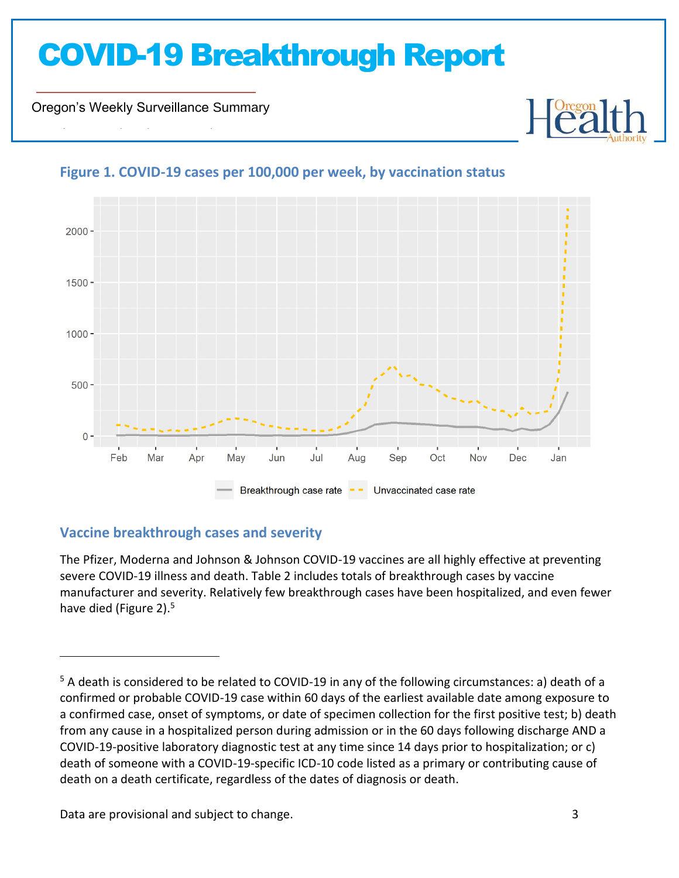Oregon's Weekly Surveillance Summary

Novel Coronavirus (COVID-19)



### **Figure 1. COVID-19 cases per 100,000 per week, by vaccination status**

#### **Vaccine breakthrough cases and severity**

The Pfizer, Moderna and Johnson & Johnson COVID-19 vaccines are all highly effective at preventing severe COVID-19 illness and death. Table 2 includes totals of breakthrough cases by vaccine manufacturer and severity. Relatively few breakthrough cases have been hospitalized, and even fewer have died (Figure 2).<sup>5</sup>

Data are provisional and subject to change. 3

<sup>5</sup> A death is considered to be related to COVID-19 in any of the following circumstances: a) death of a confirmed or probable COVID-19 case within 60 days of the earliest available date among exposure to a confirmed case, onset of symptoms, or date of specimen collection for the first positive test; b) death from any cause in a hospitalized person during admission or in the 60 days following discharge AND a COVID-19-positive laboratory diagnostic test at any time since 14 days prior to hospitalization; or c) death of someone with a COVID-19-specific ICD-10 code listed as a primary or contributing cause of death on a death certificate, regardless of the dates of diagnosis or death.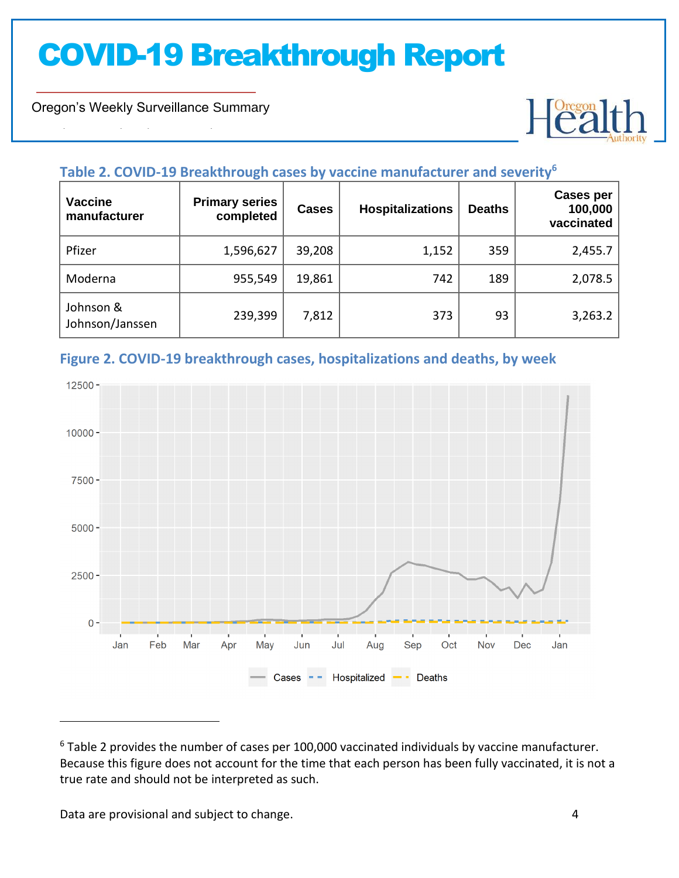Oregon's Weekly Surveillance Summary

Novel Coronavirus (COVID-19)



#### **Table 2. COVID-19 Breakthrough cases by vaccine manufacturer and severity<sup>6</sup>**

| <b>Vaccine</b><br>manufacturer | <b>Primary series</b><br>completed | <b>Cases</b> | <b>Hospitalizations</b> | <b>Deaths</b> | <b>Cases per</b><br>100,000<br>vaccinated |
|--------------------------------|------------------------------------|--------------|-------------------------|---------------|-------------------------------------------|
| Pfizer                         | 1,596,627                          | 39,208       | 1,152                   | 359           | 2,455.7                                   |
| Moderna                        | 955,549                            | 19,861       | 742                     | 189           | 2,078.5                                   |
| Johnson &<br>Johnson/Janssen   | 239,399                            | 7,812        | 373                     | 93            | 3,263.2                                   |

#### **Figure 2. COVID-19 breakthrough cases, hospitalizations and deaths, by week**



<sup>&</sup>lt;sup>6</sup> Table 2 provides the number of cases per 100,000 vaccinated individuals by vaccine manufacturer. Because this figure does not account for the time that each person has been fully vaccinated, it is not a true rate and should not be interpreted as such.

Data are provisional and subject to change. The same state of the state of the state of the state of the state of the state of the state of the state of the state of the state of the state of the state of the state of the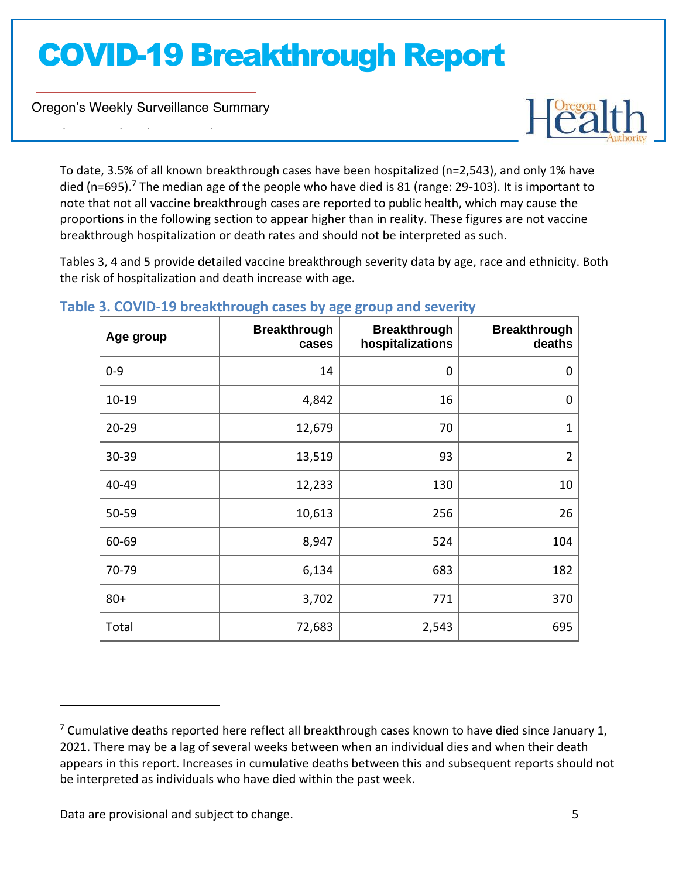Oregon's Weekly Surveillance Summary

Novel Coronavirus (COVID-19)



To date, 3.5% of all known breakthrough cases have been hospitalized (n=2,543), and only 1% have died (n=695).<sup>7</sup> The median age of the people who have died is 81 (range: 29-103). It is important to note that not all vaccine breakthrough cases are reported to public health, which may cause the proportions in the following section to appear higher than in reality. These figures are not vaccine breakthrough hospitalization or death rates and should not be interpreted as such.

Tables 3, 4 and 5 provide detailed vaccine breakthrough severity data by age, race and ethnicity. Both the risk of hospitalization and death increase with age.

| Age group | <b>Breakthrough</b><br>cases | <b>Breakthrough</b><br>hospitalizations | <b>Breakthrough</b><br>deaths |
|-----------|------------------------------|-----------------------------------------|-------------------------------|
| $0 - 9$   | 14                           | 0                                       | 0                             |
| $10 - 19$ | 4,842                        | 16                                      | $\mathbf 0$                   |
| $20 - 29$ | 12,679                       | 70                                      | $\mathbf{1}$                  |
| 30-39     | 13,519                       | 93                                      | $\overline{2}$                |
| 40-49     | 12,233                       | 130                                     | 10                            |
| 50-59     | 10,613                       | 256                                     | 26                            |
| 60-69     | 8,947                        | 524                                     | 104                           |
| 70-79     | 6,134                        | 683                                     | 182                           |
| $80 +$    | 3,702                        | 771                                     | 370                           |
| Total     | 72,683                       | 2,543                                   | 695                           |

#### **Table 3. COVID-19 breakthrough cases by age group and severity**

Data are provisional and subject to change. The same state of the state of the state of the state of the state of the state of the state of the state of the state of the state of the state of the state of the state of the

 $7$  Cumulative deaths reported here reflect all breakthrough cases known to have died since January 1, 2021. There may be a lag of several weeks between when an individual dies and when their death appears in this report. Increases in cumulative deaths between this and subsequent reports should not be interpreted as individuals who have died within the past week.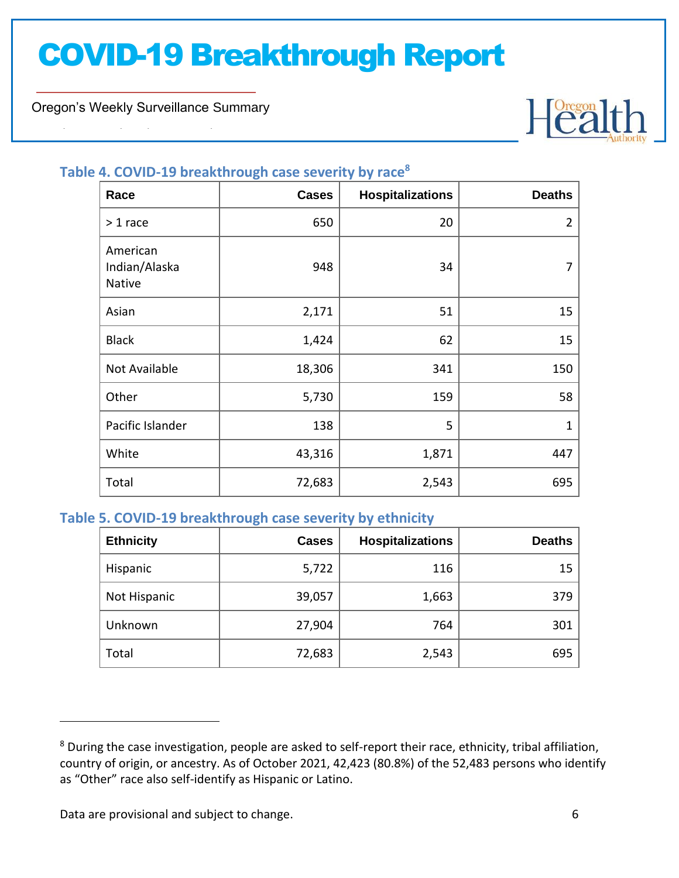Oregon's Weekly Surveillance Summary

Novel Coronavirus (COVID-19)



### **Table 4. COVID-19 breakthrough case severity by race<sup>8</sup>**

| Race                                | <b>Cases</b> | <b>Hospitalizations</b> | <b>Deaths</b>  |
|-------------------------------------|--------------|-------------------------|----------------|
| $> 1$ race                          | 650          | 20                      | $\overline{2}$ |
| American<br>Indian/Alaska<br>Native | 948          | 34                      | 7              |
| Asian                               | 2,171        | 51                      | 15             |
| <b>Black</b>                        | 1,424        | 62                      | 15             |
| Not Available                       | 18,306       | 341                     | 150            |
| Other                               | 5,730        | 159                     | 58             |
| Pacific Islander                    | 138          | 5                       | $\mathbf 1$    |
| White                               | 43,316       | 1,871                   | 447            |
| Total                               | 72,683       | 2,543                   | 695            |

#### **Table 5. COVID-19 breakthrough case severity by ethnicity**

| <b>Ethnicity</b> | <b>Cases</b> | <b>Hospitalizations</b> | <b>Deaths</b> |
|------------------|--------------|-------------------------|---------------|
| Hispanic         | 5,722        | 116                     | 15            |
| Not Hispanic     | 39,057       | 1,663                   | 379           |
| Unknown          | 27,904       | 764                     | 301           |
| Total            | 72,683       | 2,543                   | 695           |

Data are provisional and subject to change. **6** and  $\alpha$  and  $\alpha$  and  $\alpha$  and  $\alpha$  and  $\alpha$  and  $\alpha$  and  $\alpha$  and  $\alpha$  and  $\alpha$  and  $\alpha$  and  $\alpha$  and  $\alpha$  and  $\alpha$  and  $\alpha$  and  $\alpha$  and  $\alpha$  and  $\alpha$  and  $\alpha$  and  $\alpha$  and

<sup>&</sup>lt;sup>8</sup> During the case investigation, people are asked to self-report their race, ethnicity, tribal affiliation, country of origin, or ancestry. As of October 2021, 42,423 (80.8%) of the 52,483 persons who identify as "Other" race also self-identify as Hispanic or Latino.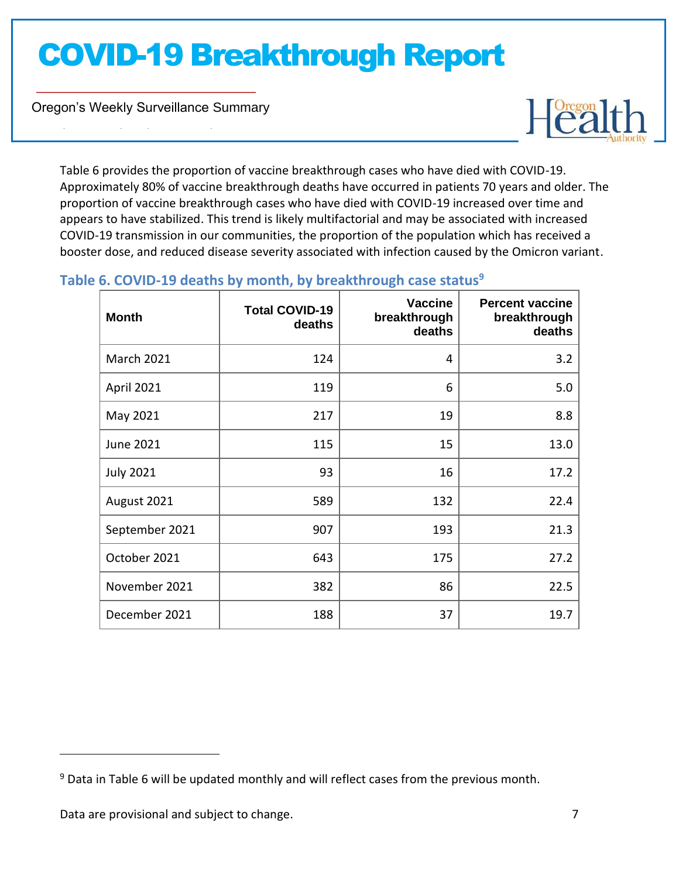Oregon's Weekly Surveillance Summary

Novel Coronavirus (COVID-19)



Table 6 provides the proportion of vaccine breakthrough cases who have died with COVID-19. Approximately 80% of vaccine breakthrough deaths have occurred in patients 70 years and older. The proportion of vaccine breakthrough cases who have died with COVID-19 increased over time and appears to have stabilized. This trend is likely multifactorial and may be associated with increased COVID-19 transmission in our communities, the proportion of the population which has received a booster dose, and reduced disease severity associated with infection caused by the Omicron variant.

| <b>Month</b>      | <b>Total COVID-19</b><br>deaths | <b>Vaccine</b><br>breakthrough<br>deaths | <b>Percent vaccine</b><br>breakthrough<br>deaths |
|-------------------|---------------------------------|------------------------------------------|--------------------------------------------------|
| <b>March 2021</b> | 124                             | 4                                        | 3.2                                              |
| April 2021        | 119                             | 6                                        | 5.0                                              |
| May 2021          | 217                             | 19                                       | 8.8                                              |
| <b>June 2021</b>  | 115                             | 15                                       | 13.0                                             |
| <b>July 2021</b>  | 93                              | 16                                       | 17.2                                             |
| August 2021       | 589                             | 132                                      | 22.4                                             |
| September 2021    | 907                             | 193                                      | 21.3                                             |
| October 2021      | 643                             | 175                                      | 27.2                                             |
| November 2021     | 382                             | 86                                       | 22.5                                             |
| December 2021     | 188                             | 37                                       | 19.7                                             |

#### **Table 6. COVID-19 deaths by month, by breakthrough case status<sup>9</sup>**

 $9$  Data in Table 6 will be updated monthly and will reflect cases from the previous month.

Data are provisional and subject to change.<br>
2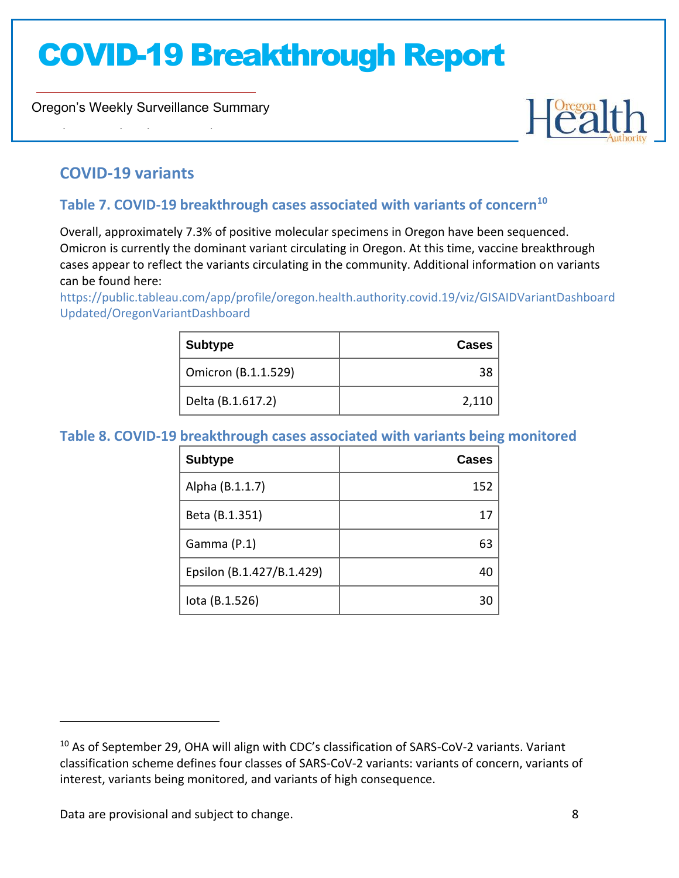Oregon's Weekly Surveillance Summary



### **COVID-19 variants**

Novel Coronavirus (COVID-19)

### **Table 7. COVID-19 breakthrough cases associated with variants of concern<sup>10</sup>**

Overall, approximately 7.3% of positive molecular specimens in Oregon have been sequenced. Omicron is currently the dominant variant circulating in Oregon. At this time, vaccine breakthrough cases appear to reflect the variants circulating in the community. Additional information on variants can be found here:

[https://public.tableau.com/app/profile/oregon.health.authority.covid.19/viz/GISAIDVariantDashboard](https://public.tableau.com/app/profile/oregon.health.authority.covid.19/viz/GISAIDVariantDashboardUpdated/OregonVariantDashboard) [Updated/OregonVariantDashboard](https://public.tableau.com/app/profile/oregon.health.authority.covid.19/viz/GISAIDVariantDashboardUpdated/OregonVariantDashboard)

| <b>Subtype</b>      | Cases |
|---------------------|-------|
| Omicron (B.1.1.529) |       |
| Delta (B.1.617.2)   | 2,110 |

#### **Table 8. COVID-19 breakthrough cases associated with variants being monitored**

| <b>Subtype</b>            | Cases |
|---------------------------|-------|
| Alpha (B.1.1.7)           | 152   |
| Beta (B.1.351)            | 17    |
| Gamma (P.1)               | 63    |
| Epsilon (B.1.427/B.1.429) | 40    |
| lota (B.1.526)            | 30    |

Data are provisional and subject to change. **8** and subject to change.

<sup>&</sup>lt;sup>10</sup> As of September 29, OHA will align with CDC's classification of SARS-CoV-2 variants. Variant classification scheme defines four classes of SARS-CoV-2 variants: variants of concern, variants of interest, variants being monitored, and variants of high consequence.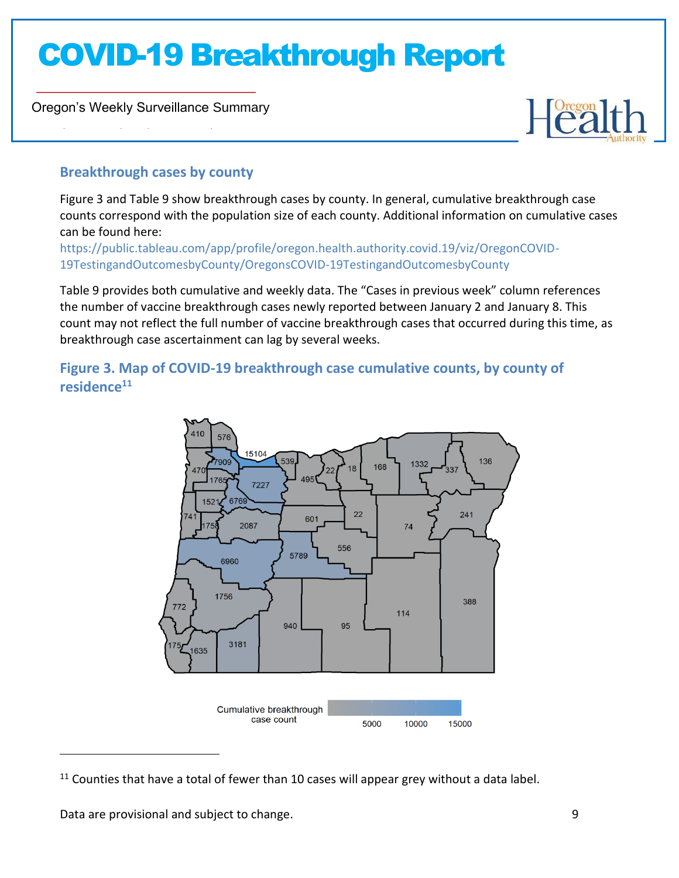Oregon's Weekly Surveillance Summary

Novel Coronavirus (COVID-19)



### **Breakthrough cases by county**

Figure 3 and Table 9 show breakthrough cases by county. In general, cumulative breakthrough case counts correspond with the population size of each county. Additional information on cumulative cases can be found here:

[https://public.tableau.com/app/profile/oregon.health.authority.covid.19/viz/OregonCOVID-](https://public.tableau.com/app/profile/oregon.health.authority.covid.19/viz/OregonCOVID-19TestingandOutcomesbyCounty/OregonsCOVID-19TestingandOutcomesbyCounty)[19TestingandOutcomesbyCounty/OregonsCOVID-19TestingandOutcomesbyCounty](https://public.tableau.com/app/profile/oregon.health.authority.covid.19/viz/OregonCOVID-19TestingandOutcomesbyCounty/OregonsCOVID-19TestingandOutcomesbyCounty)

Table 9 provides both cumulative and weekly data. The "Cases in previous week" column references the number of vaccine breakthrough cases newly reported between January 2 and January 8. This count may not reflect the full number of vaccine breakthrough cases that occurred during this time, as breakthrough case ascertainment can lag by several weeks.

**Figure 3. Map of COVID-19 breakthrough case cumulative counts, by county of residence<sup>11</sup>**



 $11$  Counties that have a total of fewer than 10 cases will appear grey without a data label.

Data are provisional and subject to change. The same state of the state of the state of the state of the state of the state of the state of the state of the state of the state of the state of the state of the state of the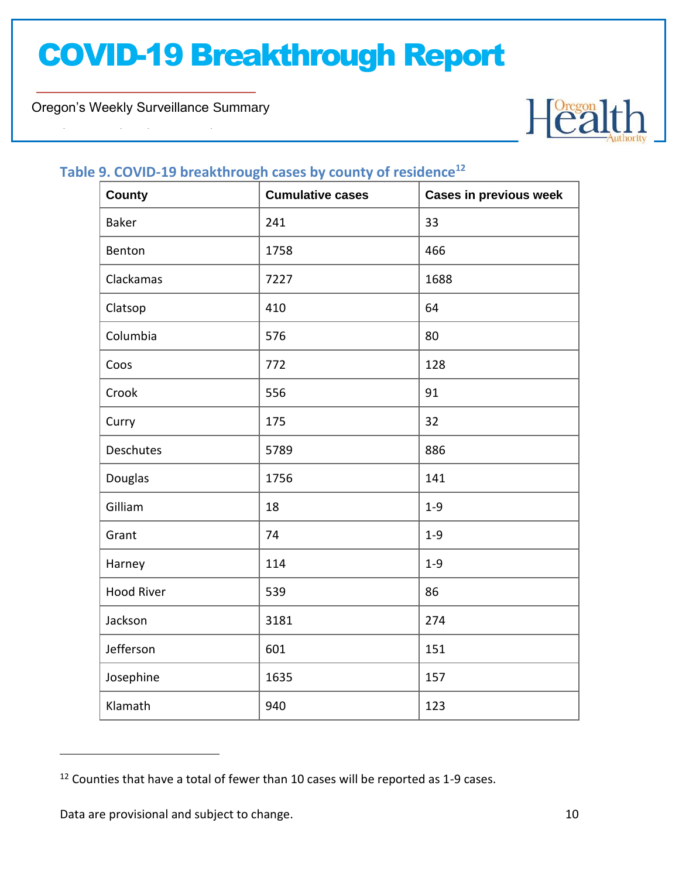Oregon's Weekly Surveillance Summary

Novel Coronavirus (COVID-19)



#### **Table 9. COVID-19 breakthrough cases by county of residence<sup>12</sup>**

| <b>County</b>     | <b>Cumulative cases</b> | <b>Cases in previous week</b> |
|-------------------|-------------------------|-------------------------------|
| Baker             | 241                     | 33                            |
| Benton            | 1758                    | 466                           |
| Clackamas         | 7227                    | 1688                          |
| Clatsop           | 410                     | 64                            |
| Columbia          | 576                     | 80                            |
| Coos              | 772                     | 128                           |
| Crook             | 556                     | 91                            |
| Curry             | 175                     | 32                            |
| Deschutes         | 5789                    | 886                           |
| Douglas           | 1756                    | 141                           |
| Gilliam           | 18                      | $1 - 9$                       |
| Grant             | 74                      | $1 - 9$                       |
| Harney            | 114                     | $1 - 9$                       |
| <b>Hood River</b> | 539                     | 86                            |
| Jackson           | 3181                    | 274                           |
| Jefferson         | 601                     | 151                           |
| Josephine         | 1635                    | 157                           |
| Klamath           | 940                     | 123                           |

<sup>&</sup>lt;sup>12</sup> Counties that have a total of fewer than 10 cases will be reported as 1-9 cases.

Data are provisional and subject to change. The same state of the state of the state of the state of the state of the state of the state of the state of the state of the state of the state of the state of the state of the